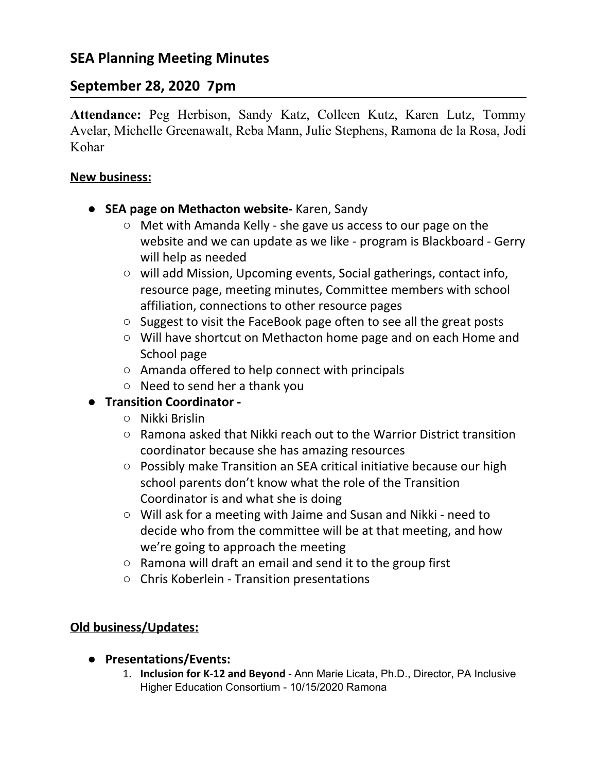# **September 28, 2020 7pm**

**Attendance:** Peg Herbison, Sandy Katz, Colleen Kutz, Karen Lutz, Tommy Avelar, Michelle Greenawalt, Reba Mann, Julie Stephens, Ramona de la Rosa, Jodi Kohar

### **New business:**

- **● SEA page on Methacton website-** Karen, Sandy
	- Met with Amanda Kelly she gave us access to our page on the website and we can update as we like - program is Blackboard - Gerry will help as needed
	- will add Mission, Upcoming events, Social gatherings, contact info, resource page, meeting minutes, Committee members with school affiliation, connections to other resource pages
	- Suggest to visit the FaceBook page often to see all the great posts
	- Will have shortcut on Methacton home page and on each Home and School page
	- Amanda offered to help connect with principals
	- Need to send her a thank you

## **● Transition Coordinator -**

- Nikki Brislin
- Ramona asked that Nikki reach out to the Warrior District transition coordinator because she has amazing resources
- Possibly make Transition an SEA critical initiative because our high school parents don't know what the role of the Transition Coordinator is and what she is doing
- Will ask for a meeting with Jaime and Susan and Nikki need to decide who from the committee will be at that meeting, and how we're going to approach the meeting
- Ramona will draft an email and send it to the group first
- Chris Koberlein Transition presentations

## **Old business/Updates:**

- **● Presentations/Events:**
	- 1. **Inclusion for K-12 and Beyond** Ann Marie Licata, Ph.D., Director, PA Inclusive Higher Education Consortium - 10/15/2020 Ramona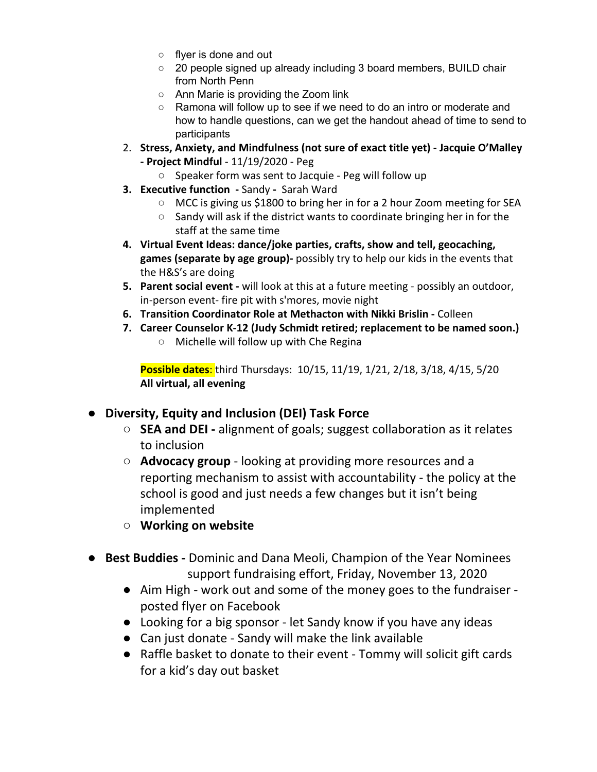- flyer is done and out
- 20 people signed up already including 3 board members, BUILD chair from North Penn
- Ann Marie is providing the Zoom link
- Ramona will follow up to see if we need to do an intro or moderate and how to handle questions, can we get the handout ahead of time to send to participants
- 2. **Stress, Anxiety, and Mindfulness (not sure of exact title yet) Jacquie O'Malley - Project Mindful** - 11/19/2020 - Peg
	- Speaker form was sent to Jacquie Peg will follow up
- **3. Executive function -** SandySarah Ward
	- MCC is giving us \$1800 to bring her in for a 2 hour Zoom meeting for SEA
	- Sandy will ask if the district wants to coordinate bringing her in for the staff at the same time
- **4. Virtual Event Ideas: dance/joke parties, crafts, show and tell, geocaching, games (separate by age group)-** possibly try to help our kids in the events that the H&S's are doing
- **5. Parent social event -** will look at this at a future meeting possibly an outdoor, in-person event- fire pit with s'mores, movie night
- **6. Transition Coordinator Role at Methacton with Nikki Brislin** Colleen
- **7. Career Counselor K-12 (Judy Schmidt retired; replacement to be named soon.)**
	- Michelle will follow up with Che Regina

**Possible dates**: third Thursdays: 10/15, 11/19, 1/21, 2/18, 3/18, 4/15, 5/20 **All virtual, all evening**

### **● Diversity, Equity and Inclusion (DEI) Task Force**

- **○ SEA and DEI -** alignment of goals; suggest collaboration as it relates to inclusion
- **○ Advocacy group** looking at providing more resources and a reporting mechanism to assist with accountability - the policy at the school is good and just needs a few changes but it isn't being implemented
- **○ Working on website**
- **Best Buddies -** Dominic and Dana Meoli, Champion of the Year Nominees support fundraising effort, Friday, November 13, 2020
	- Aim High work out and some of the money goes to the fundraiser posted flyer on Facebook
	- Looking for a big sponsor let Sandy know if you have any ideas
	- Can just donate Sandy will make the link available
	- Raffle basket to donate to their event Tommy will solicit gift cards for a kid's day out basket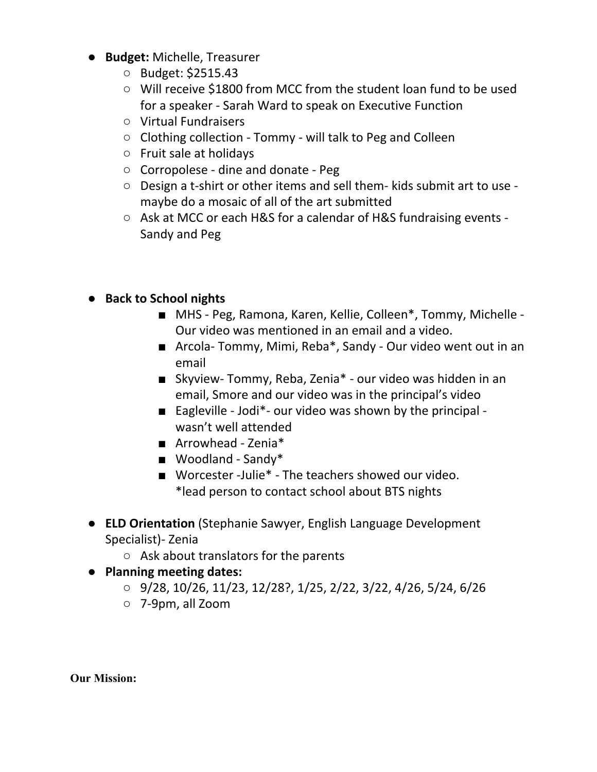- **Budget:** Michelle, Treasurer
	- Budget: \$2515.43
	- Will receive \$1800 from MCC from the student loan fund to be used for a speaker - Sarah Ward to speak on Executive Function
	- Virtual Fundraisers
	- Clothing collection Tommy will talk to Peg and Colleen
	- Fruit sale at holidays
	- Corropolese dine and donate Peg
	- Design a t-shirt or other items and sell them- kids submit art to use maybe do a mosaic of all of the art submitted
	- Ask at MCC or each H&S for a calendar of H&S fundraising events Sandy and Peg
- **● Back to School nights**
	- MHS Peg, Ramona, Karen, Kellie, Colleen<sup>\*</sup>, Tommy, Michelle -Our video was mentioned in an email and a video.
	- Arcola- Tommy, Mimi, Reba\*, Sandy Our video went out in an email
	- Skyview- Tommy, Reba, Zenia<sup>\*</sup> our video was hidden in an email, Smore and our video was in the principal's video
	- Eagleville Jodi\*- our video was shown by the principal wasn't well attended
	- Arrowhead Zenia<sup>\*</sup>
	- Woodland Sandy\*
	- Worcester -Julie<sup>\*</sup> The teachers showed our video. \*lead person to contact school about BTS nights
- **ELD Orientation** (Stephanie Sawyer, English Language Development Specialist)- Zenia
	- Ask about translators for the parents
- **● Planning meeting dates:**
	- 9/28, 10/26, 11/23, 12/28?, 1/25, 2/22, 3/22, 4/26, 5/24, 6/26
	- 7-9pm, all Zoom

**Our Mission:**